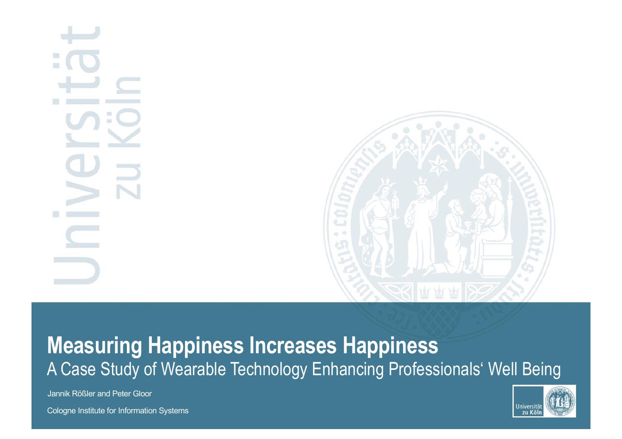

## **Measuring Happiness Increases Happiness** A Case Study of Wearable Technology Enhancing Professionals' Well Being

Universit zu Köl

Jannik Rößler and Peter Gloor

Cologne Institute for Information Systems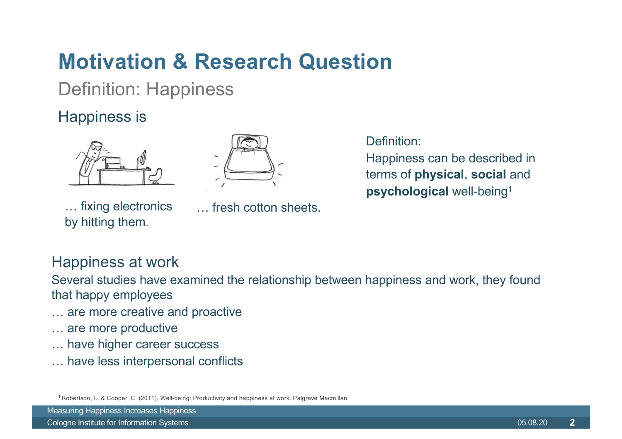## **Motivation & Research Question**

**Definition: Happiness** 

#### **Happiness is**



... fixing electronics by hitting them.



fresh cotton sheets.

Definition:

Happiness can be described in terms of physical, social and psychological well-being<sup>1</sup>

#### Happiness at work

Several studies have examined the relationship between happiness and work, they found that happy employees

- ... are more creative and proactive
- ... are more productive
- ... have higher career success
- ... have less interpersonal conflicts

<sup>1</sup> Robertson, I., & Cooper, C. (2011). Well-being: Productivity and happiness at work. Palgrave Macmillan.

**Measuring Happiness Increases Happiness**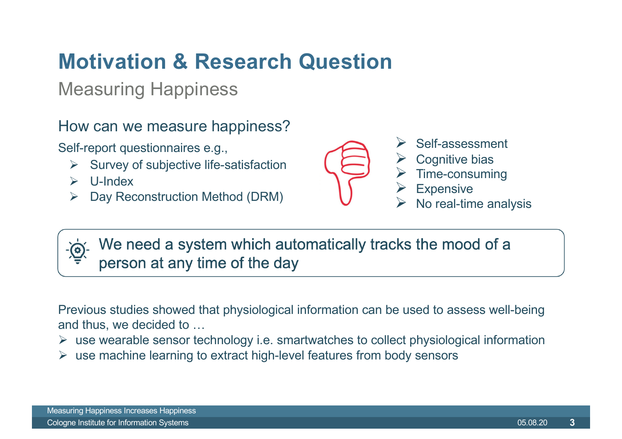## **Motivation & Research Question**

#### **Measuring Happiness**

How can we measure happiness?

Self-report questionnaires e.g.,

- Survey of subjective life-satisfaction
- $\triangleright$  U-Index
- Day Reconstruction Method (DRM)  $\blacktriangleright$



Self-assessment **Cognitive bias** Time-consuming **Expensive** No real-time analysis

We need a system which automatically tracks the mood of a person at any time of the day

Previous studies showed that physiological information can be used to assess well-being and thus, we decided to ...

- $\triangleright$  use wearable sensor technology i.e. smartwatches to collect physiological information
- $\triangleright$  use machine learning to extract high-level features from body sensors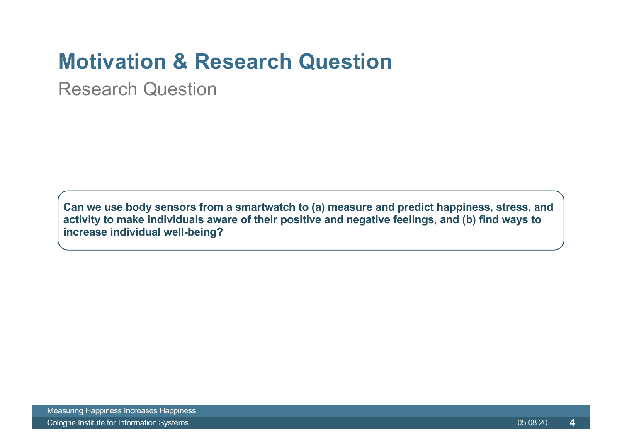## **Motivation & Research Question**

**Research Question** 

Can we use body sensors from a smartwatch to (a) measure and predict happiness, stress, and activity to make individuals aware of their positive and negative feelings, and (b) find ways to increase individual well-being?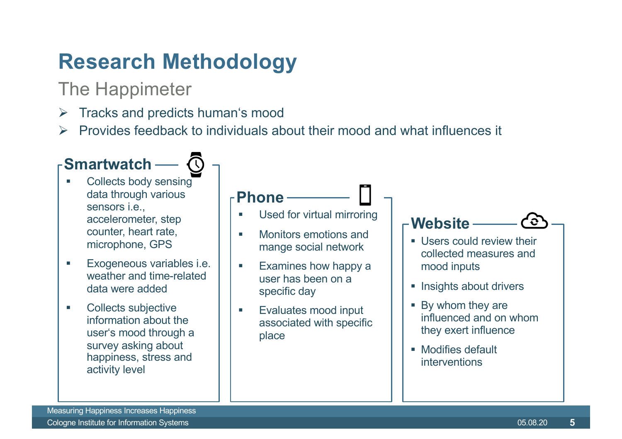## **Research Methodology**

### The Happimeter

- Tracks and predicts human's mood
- Provides feedback to individuals about their mood and what influences it

#### Smartwatch —

- Collects body sensing  $\mathcal{L}_{\mathcal{A}}$ data through various sensors *i.e.*. accelerometer, step counter, heart rate, microphone, GPS
- Exogeneous variables i.e.  $\mathcal{L}_{\mathcal{A}}$ weather and time-related data were added
- **Collects subjective**  $\mathcal{L}_{\mathcal{A}}$ information about the user's mood through a survey asking about happiness, stress and activity level

#### - Phone -

- Used for virtual mirroring a.
- Monitors emotions and mange social network
- Examines how happy a  $\mathcal{L}_{\mathcal{A}}$ user has been on a specific day
- Evaluates mood input  $\mathcal{L}_{\mathcal{A}}$ associated with specific place

#### -Website -

- Users could review their collected measures and mood inputs
- Insights about drivers
- By whom they are influenced and on whom they exert influence
- Modifies default interventions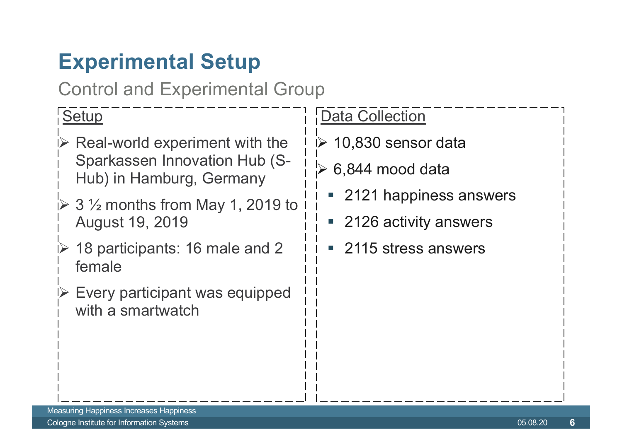## **Experimental Setup**

**Control and Experimental Group** 

#### Setup

- $\triangleright$  Real-world experiment with the **Sparkassen Innovation Hub (S-**Hub) in Hamburg, Germany
- $\geq 3 \frac{1}{2}$  months from May 1, 2019 to **August 19, 2019**
- $\dot{P}$  18 participants: 16 male and 2 female
- Every participant was equipped with a smartwatch

#### **Data Collection**

- $\triangleright$  10,830 sensor data
- 6,844 mood data
	- 2121 happiness answers
	- 2126 activity answers
	- 2115 stress answers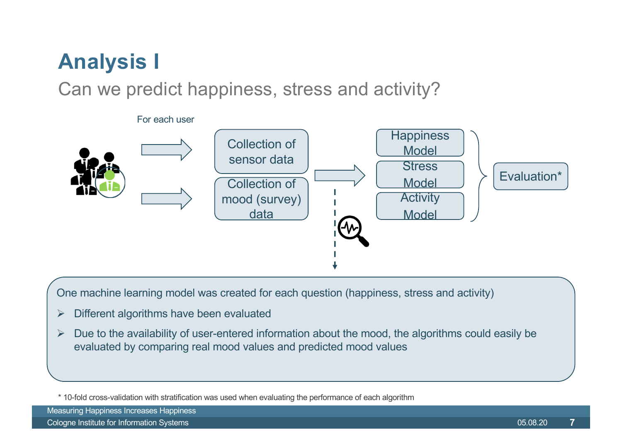## **Analysis I**

Can we predict happiness, stress and activity?



One machine learning model was created for each question (happiness, stress and activity)

- Different algorithms have been evaluated  $\blacktriangleright$
- Due to the availability of user-entered information about the mood, the algorithms could easily be  $\blacktriangleright$ evaluated by comparing real mood values and predicted mood values

**Measuring Happiness Increases Happiness** 

Cologne Institute for Information Systems

<sup>\* 10-</sup>fold cross-validation with stratification was used when evaluating the performance of each algorithm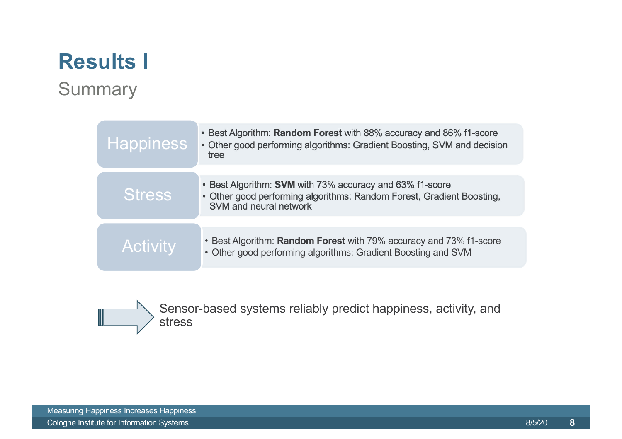## **Results I**

#### **Summary**

| Happiness        | • Best Algorithm: Random Forest with 88% accuracy and 86% f1-score<br>• Other good performing algorithms: Gradient Boosting, SVM and decision<br>tree |
|------------------|-------------------------------------------------------------------------------------------------------------------------------------------------------|
| <b>Stress</b>    | • Best Algorithm: SVM with 73% accuracy and 63% f1-score<br>• Other good performing algorithms: Random Forest, Gradient Boosting,                     |
|                  | SVM and neural network                                                                                                                                |
| Activi <u>ty</u> | • Best Algorithm: Random Forest with 79% accuracy and 73% f1-score<br>• Other good performing algorithms: Gradient Boosting and SVM                   |



Sensor-based systems reliably predict happiness, activity, and stress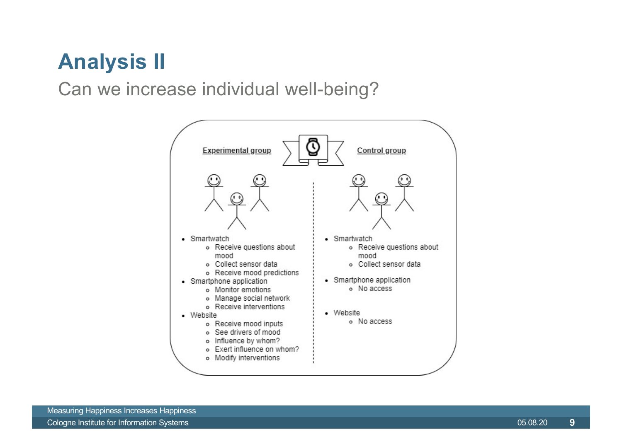## **Analysis II**

Can we increase individual well-being?

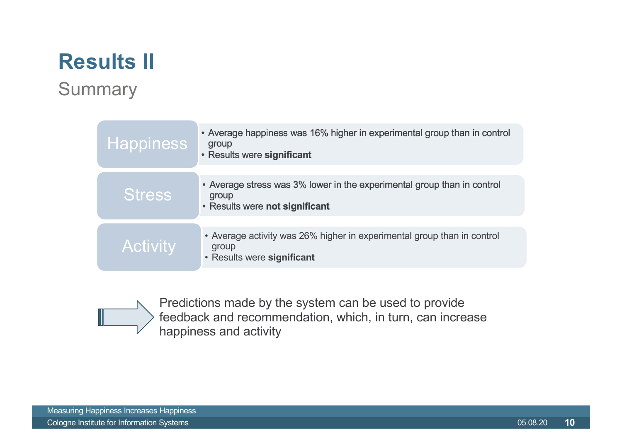## **Results II**

#### **Summary**

| <b>Happiness</b> | • Average happiness was 16% higher in experimental group than in control<br>group<br>• Results were significant    |
|------------------|--------------------------------------------------------------------------------------------------------------------|
| <b>Stress</b>    | • Average stress was 3% lower in the experimental group than in control<br>group<br>• Results were not significant |
| <b>Activity</b>  | • Average activity was 26% higher in experimental group than in control<br>group<br>• Results were significant     |



Predictions made by the system can be used to provide feedback and recommendation, which, in turn, can increase happiness and activity